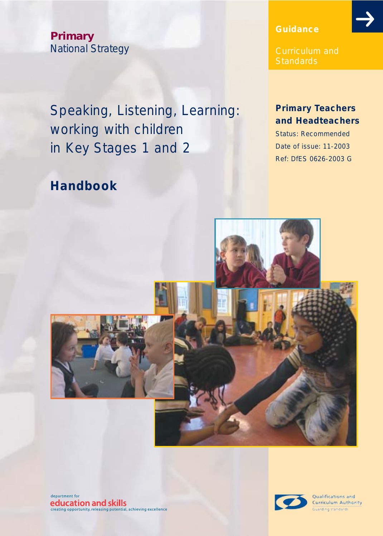# **Primary** *National Strategy*

Speaking, Listening, Learning: working with children in Key Stages 1 and 2

# **Handbook**

### **Guidance**

**Standards** 

# **Primary Teachers and Headteachers**

Status: Recommended Date of issue: 11-2003 Ref: DfES 0626-2003 G





Qualifications and Curriculum Authority **Guarding standards**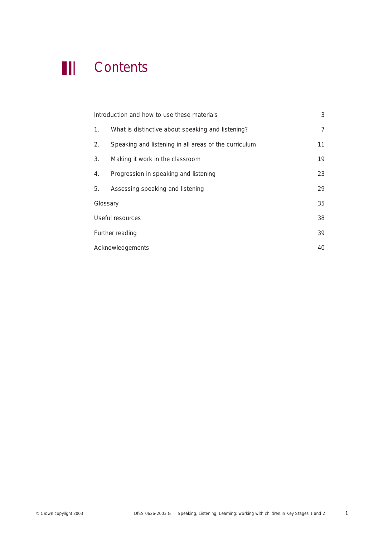

# **III** Contents

|                  | Introduction and how to use these materials           |    |
|------------------|-------------------------------------------------------|----|
| 1.               | What is distinctive about speaking and listening?     | 7  |
| 2.               | Speaking and listening in all areas of the curriculum | 11 |
| 3.               | Making it work in the classroom                       | 19 |
| 4.               | Progression in speaking and listening                 | 23 |
| 5.               | Assessing speaking and listening                      | 29 |
| Glossary         |                                                       | 35 |
| Useful resources |                                                       | 38 |
| Further reading  |                                                       | 39 |
| Acknowledgements |                                                       | 40 |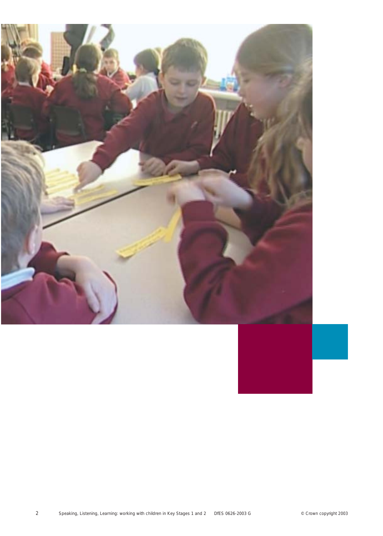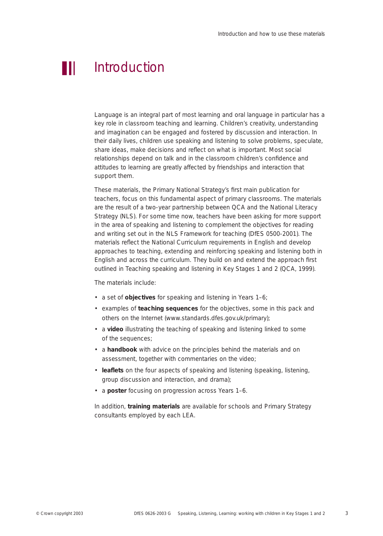# **■** Introduction

Language is an integral part of most learning and oral language in particular has a key role in classroom teaching and learning. Children's creativity, understanding and imagination can be engaged and fostered by discussion and interaction. In their daily lives, children use speaking and listening to solve problems, speculate, share ideas, make decisions and reflect on what is important. Most social relationships depend on talk and in the classroom children's confidence and attitudes to learning are greatly affected by friendships and interaction that support them.

These materials, the Primary National Strategy's first main publication for teachers, focus on this fundamental aspect of primary classrooms. The materials are the result of a two-year partnership between QCA and the National Literacy Strategy (NLS). For some time now, teachers have been asking for more support in the area of speaking and listening to complement the objectives for reading and writing set out in the NLS *Framework for teaching* (DfES 0500-2001). The materials reflect the National Curriculum requirements in English and develop approaches to teaching, extending and reinforcing speaking and listening both in English and across the curriculum. They build on and extend the approach first outlined in *Teaching speaking and listening in Key Stages 1 and 2* (QCA, 1999).

The materials include:

- a set of **objectives** for speaking and listening in Years 1–6;
- examples of **teaching sequences** for the objectives, some in this pack and others on the Internet (www.standards.dfes.gov.uk/primary);
- a **video** illustrating the teaching of speaking and listening linked to some of the sequences;
- a **handbook** with advice on the principles behind the materials and on assessment, together with commentaries on the video;
- **leaflets** on the four aspects of speaking and listening (speaking, listening, group discussion and interaction, and drama);
- a **poster** focusing on progression across Years 1–6.

In addition, **training materials** are available for schools and Primary Strategy consultants employed by each LEA.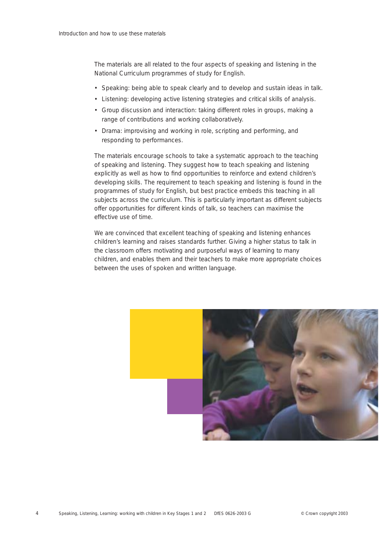The materials are all related to the four aspects of speaking and listening in the National Curriculum programmes of study for English.

- Speaking: being able to speak clearly and to develop and sustain ideas in talk.
- Listening: developing active listening strategies and critical skills of analysis.
- Group discussion and interaction: taking different roles in groups, making a range of contributions and working collaboratively.
- Drama: improvising and working in role, scripting and performing, and responding to performances.

The materials encourage schools to take a systematic approach to the teaching of speaking and listening. They suggest how to teach speaking and listening explicitly as well as how to find opportunities to reinforce and extend children's developing skills. The requirement to teach speaking and listening is found in the programmes of study for English, but best practice embeds this teaching in all subjects across the curriculum. This is particularly important as different subjects offer opportunities for different kinds of talk, so teachers can maximise the effective use of time.

We are convinced that excellent teaching of speaking and listening enhances children's learning and raises standards further. Giving a higher status to talk in the classroom offers motivating and purposeful ways of learning to many children, and enables them and their teachers to make more appropriate choices between the uses of spoken and written language.

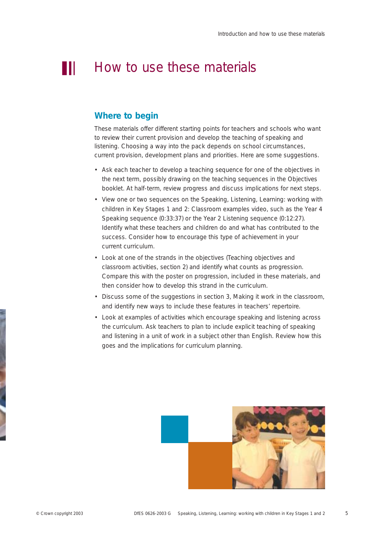# **■** How to use these materials

### **Where to begin**

These materials offer different starting points for teachers and schools who want to review their current provision and develop the teaching of speaking and listening. Choosing a way into the pack depends on school circumstances, current provision, development plans and priorities. Here are some suggestions.

- Ask each teacher to develop a teaching sequence for one of the objectives in the next term, possibly drawing on the teaching sequences in the Objectives booklet. At half-term, review progress and discuss implications for next steps.
- View one or two sequences on the *Speaking, Listening, Learning: working with children in Key Stages 1 and 2: Classroom examples* video, such as the Year 4 Speaking sequence (0:33:37) or the Year 2 Listening sequence (0:12:27). Identify what these teachers and children do and what has contributed to the success. Consider how to encourage this type of achievement in your current curriculum.
- Look at one of the strands in the objectives (*Teaching objectives and classroom activities*, section 2) and identify what counts as progression. Compare this with the poster on progression, included in these materials, and then consider how to develop this strand in the curriculum.
- Discuss some of the suggestions in section 3, Making it work in the classroom, and identify new ways to include these features in teachers' repertoire.
- Look at examples of activities which encourage speaking and listening across the curriculum. Ask teachers to plan to include explicit teaching of speaking and listening in a unit of work in a subject other than English. Review how this goes and the implications for curriculum planning.

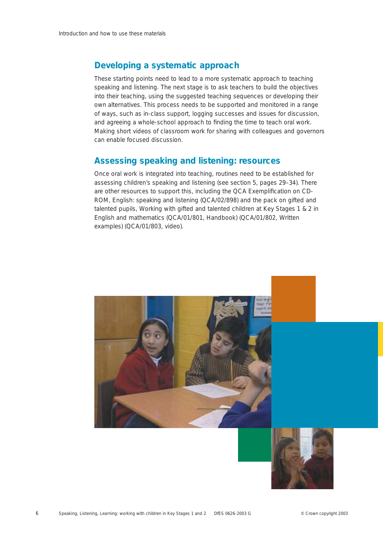### **Developing a systematic approach**

These starting points need to lead to a more systematic approach to teaching speaking and listening. The next stage is to ask teachers to build the objectives into their teaching, using the suggested teaching sequences or developing their own alternatives. This process needs to be supported and monitored in a range of ways, such as in-class support, logging successes and issues for discussion, and agreeing a whole-school approach to finding the time to teach oral work. Making short videos of classroom work for sharing with colleagues and governors can enable focused discussion.

### **Assessing speaking and listening: resources**

Once oral work is integrated into teaching, routines need to be established for assessing children's speaking and listening (see section 5, pages 29–34). There are other resources to support this, including the QCA Exemplification on CD-ROM, *English: speaking and listening* (QCA/02/898) and the pack on gifted and talented pupils, *Working with gifted and talented children at Key Stages 1 & 2 in English and mathematics* (QCA/01/801, Handbook) (QCA/01/802, Written examples) (QCA/01/803, video).



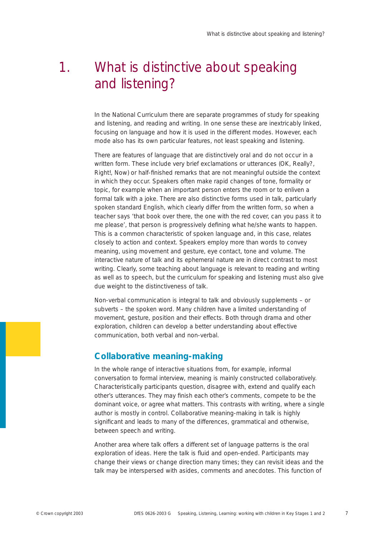# 1. What is distinctive about speaking and listening?

In the National Curriculum there are separate programmes of study for speaking and listening, and reading and writing. In one sense these are inextricably linked, focusing on language and how it is used in the different modes. However, each mode also has its own particular features, not least speaking and listening.

There are features of language that are distinctively oral and do not occur in a written form. These include very brief exclamations or utterances (*OK, Really?, Right!, Now*) or half-finished remarks that are not meaningful outside the context in which they occur. Speakers often make rapid changes of tone, formality or topic, for example when an important person enters the room or to enliven a formal talk with a joke. There are also distinctive forms used in talk, particularly spoken standard English, which clearly differ from the written form, so when a teacher says 'that book over there, the one with the red cover, can you pass it to me please', that person is progressively defining what he/she wants to happen. This is a common characteristic of spoken language and, in this case, relates closely to action and context. Speakers employ more than words to convey meaning, using movement and gesture, eye contact, tone and volume. The interactive nature of talk and its ephemeral nature are in direct contrast to most writing. Clearly, some teaching about language is relevant to reading and writing as well as to speech, but the curriculum for speaking and listening must also give due weight to the distinctiveness of talk.

Non-verbal communication is integral to talk and obviously supplements – or subverts – the spoken word. Many children have a limited understanding of movement, gesture, position and their effects. Both through drama and other exploration, children can develop a better understanding about effective communication, both verbal and non-verbal.

### **Collaborative meaning-making**

In the whole range of interactive situations from, for example, informal conversation to formal interview, meaning is mainly constructed collaboratively. Characteristically participants question, disagree with, extend and qualify each other's utterances. They may finish each other's comments, compete to be the dominant voice, or agree what matters. This contrasts with writing, where a single author is mostly in control. Collaborative meaning-making in talk is highly significant and leads to many of the differences, grammatical and otherwise, between speech and writing.

Another area where talk offers a different set of language patterns is the oral exploration of ideas. Here the talk is fluid and open-ended. Participants may change their views or change direction many times; they can revisit ideas and the talk may be interspersed with asides, comments and anecdotes. This function of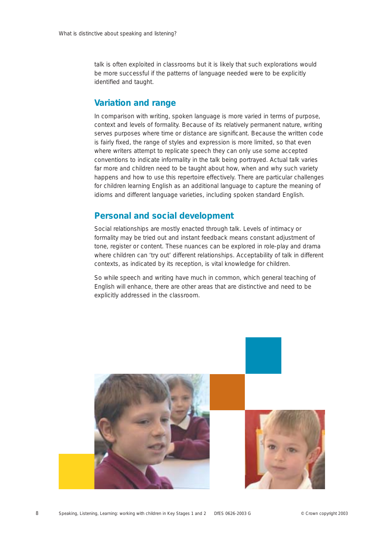talk is often exploited in classrooms but it is likely that such explorations would be more successful if the patterns of language needed were to be explicitly identified and taught.

### **Variation and range**

In comparison with writing, spoken language is more varied in terms of purpose, context and levels of formality. Because of its relatively permanent nature, writing serves purposes where time or distance are significant. Because the written code is fairly fixed, the range of styles and expression is more limited, so that even where writers attempt to replicate speech they can only use some accepted conventions to indicate informality in the talk being portrayed. Actual talk varies far more and children need to be taught about how, when and why such variety happens and how to use this repertoire effectively. There are particular challenges for children learning English as an additional language to capture the meaning of idioms and different language varieties, including spoken standard English.

### **Personal and social development**

Social relationships are mostly enacted through talk. Levels of intimacy or formality may be tried out and instant feedback means constant adjustment of tone, register or content. These nuances can be explored in role-play and drama where children can 'try out' different relationships. Acceptability of talk in different contexts, as indicated by its reception, is vital knowledge for children.

So while speech and writing have much in common, which general teaching of English will enhance, there are other areas that are distinctive and need to be explicitly addressed in the classroom.

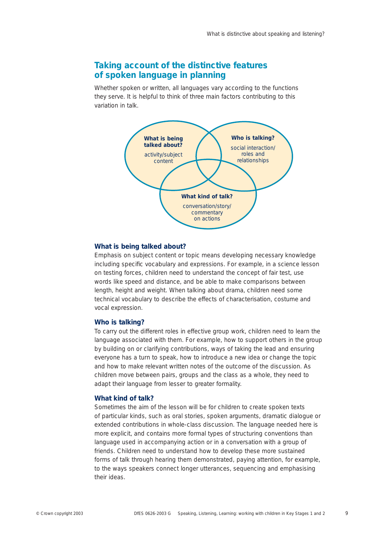### **Taking account of the distinctive features of spoken language in planning**

Whether spoken or written, all languages vary according to the functions they serve. It is helpful to think of three main factors contributing to this variation in talk.



#### **What is being talked about?**

Emphasis on subject content or topic means developing necessary knowledge including specific vocabulary and expressions. For example, in a science lesson on testing forces, children need to understand the concept of fair test, use words like *speed* and *distance*, and be able to make comparisons between *length*, *height* and *weight*. When talking about drama, children need some technical vocabulary to describe the effects of *characterisation*, *costume* and *vocal expression*.

### **Who is talking?**

To carry out the different roles in effective group work, children need to learn the language associated with them. For example, how to support others in the group by building on or clarifying contributions, ways of taking the lead and ensuring everyone has a turn to speak, how to introduce a new idea or change the topic and how to make relevant written notes of the outcome of the discussion. As children move between pairs, groups and the class as a whole, they need to adapt their language from lesser to greater formality.

#### **What kind of talk?**

Sometimes the aim of the lesson will be for children to create spoken texts of particular kinds, such as oral stories, spoken arguments, dramatic dialogue or extended contributions in whole-class discussion. The language needed here is more explicit, and contains more formal types of structuring conventions than language used in accompanying action or in a conversation with a group of friends. Children need to understand how to develop these more sustained forms of talk through hearing them demonstrated, paying attention, for example, to the ways speakers connect longer utterances, sequencing and emphasising their ideas.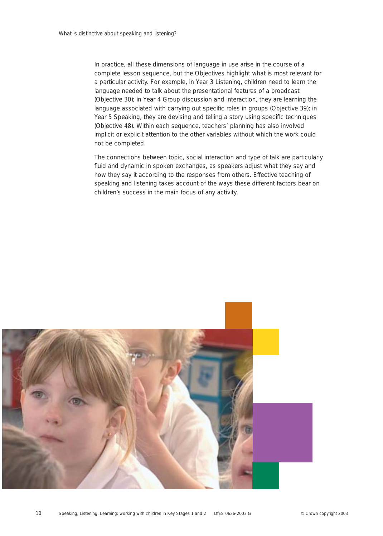In practice, all these dimensions of language in use arise in the course of a complete lesson sequence, but the Objectives highlight what is most relevant for a particular activity. For example, in Year 3 Listening, children need to learn the language needed to talk about the presentational features of a broadcast (Objective 30); in Year 4 Group discussion and interaction, they are learning the language associated with carrying out specific roles in groups (Objective 39); in Year 5 Speaking, they are devising and telling a story using specific techniques (Objective 48). Within each sequence, teachers' planning has also involved implicit or explicit attention to the other variables without which the work could not be completed.

The connections between topic, social interaction and type of talk are particularly fluid and dynamic in spoken exchanges, as speakers adjust what they say and how they say it according to the responses from others. Effective teaching of speaking and listening takes account of the ways these different factors bear on children's success in the main focus of any activity.

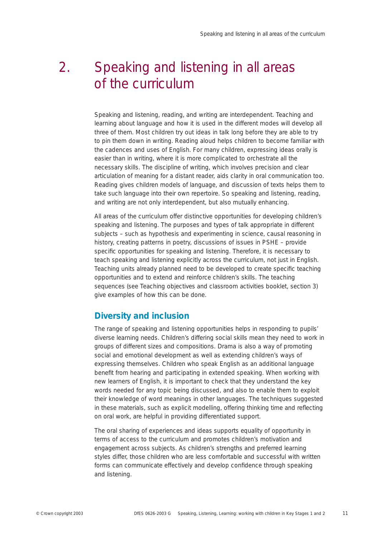# 2. Speaking and listening in all areas of the curriculum

Speaking and listening, reading, and writing are interdependent. Teaching and learning about language and how it is used in the different modes will develop all three of them. Most children try out ideas in talk long before they are able to try to pin them down in writing. Reading aloud helps children to become familiar with the cadences and uses of English. For many children, expressing ideas orally is easier than in writing, where it is more complicated to orchestrate all the necessary skills. The discipline of writing, which involves precision and clear articulation of meaning for a distant reader, aids clarity in oral communication too. Reading gives children models of language, and discussion of texts helps them to take such language into their own repertoire. So speaking and listening, reading, and writing are not only interdependent, but also mutually enhancing.

All areas of the curriculum offer distinctive opportunities for developing children's speaking and listening. The purposes and types of talk appropriate in different subjects – such as hypothesis and experimenting in science, causal reasoning in history, creating patterns in poetry, discussions of issues in PSHE – provide specific opportunities for speaking and listening. Therefore, it is necessary to teach speaking and listening explicitly across the curriculum, not just in English. Teaching units already planned need to be developed to create specific teaching opportunities and to extend and reinforce children's skills. The teaching sequences (see *Teaching objectives and classroom activities* booklet, section 3) give examples of how this can be done.

### **Diversity and inclusion**

The range of speaking and listening opportunities helps in responding to pupils' diverse learning needs. Children's differing social skills mean they need to work in groups of different sizes and compositions. Drama is also a way of promoting social and emotional development as well as extending children's ways of expressing themselves. Children who speak English as an additional language benefit from hearing and participating in extended speaking. When working with new learners of English, it is important to check that they understand the key words needed for any topic being discussed, and also to enable them to exploit their knowledge of word meanings in other languages. The techniques suggested in these materials, such as explicit modelling, offering thinking time and reflecting on oral work, are helpful in providing differentiated support.

The oral sharing of experiences and ideas supports equality of opportunity in terms of access to the curriculum and promotes children's motivation and engagement across subjects. As children's strengths and preferred learning styles differ, those children who are less comfortable and successful with written forms can communicate effectively and develop confidence through speaking and listening.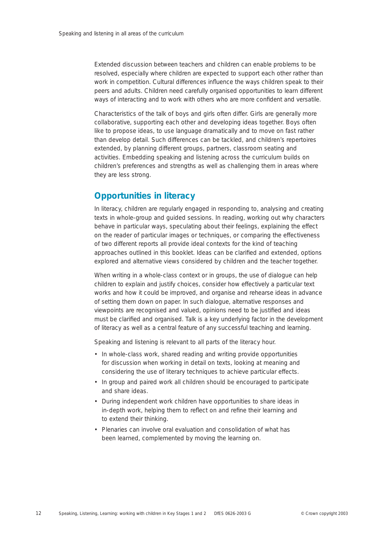Extended discussion between teachers and children can enable problems to be resolved, especially where children are expected to support each other rather than work in competition. Cultural differences influence the ways children speak to their peers and adults. Children need carefully organised opportunities to learn different ways of interacting and to work with others who are more confident and versatile.

Characteristics of the talk of boys and girls often differ. Girls are generally more collaborative, supporting each other and developing ideas together. Boys often like to propose ideas, to use language dramatically and to move on fast rather than develop detail. Such differences can be tackled, and children's repertoires extended, by planning different groups, partners, classroom seating and activities. Embedding speaking and listening across the curriculum builds on children's preferences and strengths as well as challenging them in areas where they are less strong.

### **Opportunities in literacy**

In literacy, children are regularly engaged in responding to, analysing and creating texts in whole-group and guided sessions. In reading, working out why characters behave in particular ways, speculating about their feelings, explaining the effect on the reader of particular images or techniques, or comparing the effectiveness of two different reports all provide ideal contexts for the kind of teaching approaches outlined in this booklet. Ideas can be clarified and extended, options explored and alternative views considered by children and the teacher together.

When writing in a whole-class context or in groups, the use of dialogue can help children to explain and justify choices, consider how effectively a particular text works and how it could be improved, and organise and rehearse ideas in advance of setting them down on paper. In such dialogue, alternative responses and viewpoints are recognised and valued, opinions need to be justified and ideas must be clarified and organised. Talk is a key underlying factor in the development of literacy as well as a central feature of any successful teaching and learning.

Speaking and listening is relevant to all parts of the literacy hour.

- In whole-class work, shared reading and writing provide opportunities for discussion when working in detail on texts, looking at meaning and considering the use of literary techniques to achieve particular effects.
- In group and paired work all children should be encouraged to participate and share ideas.
- During independent work children have opportunities to share ideas in in-depth work, helping them to reflect on and refine their learning and to extend their thinking.
- Plenaries can involve oral evaluation and consolidation of what has been learned, complemented by moving the learning on.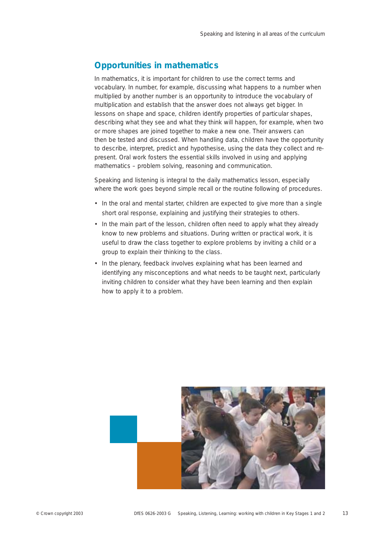### **Opportunities in mathematics**

In mathematics, it is important for children to use the correct terms and vocabulary. In number, for example, discussing what happens to a number when multiplied by another number is an opportunity to introduce the vocabulary of multiplication and establish that the answer does not always get bigger. In lessons on shape and space, children identify properties of particular shapes, describing what they see and what they think will happen, for example, when two or more shapes are joined together to make a new one. Their answers can then be tested and discussed. When handling data, children have the opportunity to describe, interpret, predict and hypothesise, using the data they collect and represent. Oral work fosters the essential skills involved in using and applying mathematics – problem solving, reasoning and communication.

Speaking and listening is integral to the daily mathematics lesson, especially where the work goes beyond simple recall or the routine following of procedures.

- In the oral and mental starter, children are expected to give more than a single short oral response, explaining and justifying their strategies to others.
- In the main part of the lesson, children often need to apply what they already know to new problems and situations. During written or practical work, it is useful to draw the class together to explore problems by inviting a child or a group to explain their thinking to the class.
- In the plenary, feedback involves explaining what has been learned and identifying any misconceptions and what needs to be taught next, particularly inviting children to consider what they have been learning and then explain how to apply it to a problem.

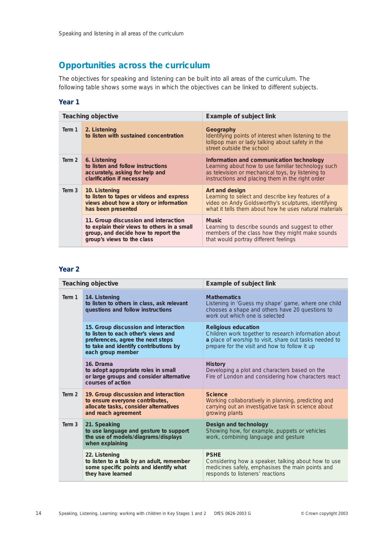# **Opportunities across the curriculum**

The objectives for speaking and listening can be built into all areas of the curriculum. The following table shows some ways in which the objectives can be linked to different subjects.

### **Year 1**

| <b>Teaching objective</b> |                                                                                                                                                          | Example of subject link                                                                                                                                                                                 |
|---------------------------|----------------------------------------------------------------------------------------------------------------------------------------------------------|---------------------------------------------------------------------------------------------------------------------------------------------------------------------------------------------------------|
| Term 1                    | 2. Listening<br>to listen with sustained concentration                                                                                                   | Geography<br>Identifying points of interest when listening to the<br>lollipop man or lady talking about safety in the<br>street outside the school                                                      |
| Term 2                    | 6. Listening<br>to listen and follow instructions<br>accurately, asking for help and<br>clarification if necessary                                       | Information and communication technology<br>Learning about how to use familiar technology such<br>as television or mechanical toys, by listening to<br>instructions and placing them in the right order |
| Term 3                    | 10. Listening<br>to listen to tapes or videos and express<br>views about how a story or information<br>has been presented                                | Art and design<br>Learning to select and describe key features of a<br>video on Andy Goldsworthy's sculptures, identifying<br>what it tells them about how he uses natural materials                    |
|                           | 11. Group discussion and interaction<br>to explain their views to others in a small<br>group, and decide how to report the<br>group's views to the class | <b>Music</b><br>Learning to describe sounds and suggest to other<br>members of the class how they might make sounds<br>that would portray different feelings                                            |

### **Year 2**

| <b>Teaching objective</b> |                                                                                                                                                                                | <b>Example of subject link</b>                                                                                                                                                                |
|---------------------------|--------------------------------------------------------------------------------------------------------------------------------------------------------------------------------|-----------------------------------------------------------------------------------------------------------------------------------------------------------------------------------------------|
| Term 1                    | 14. Listening<br>to listen to others in class, ask relevant<br>questions and follow instructions                                                                               | <b>Mathematics</b><br>Listening in 'Guess my shape' game, where one child<br>chooses a shape and others have 20 questions to<br>work out which one is selected                                |
|                           | 15. Group discussion and interaction<br>to listen to each other's views and<br>preferences, agree the next steps<br>to take and identify contributions by<br>each group member | <b>Religious education</b><br>Children work together to research information about<br>a place of worship to visit, share out tasks needed to<br>prepare for the visit and how to follow it up |
|                           | 16. Drama<br>to adopt appropriate roles in small<br>or large groups and consider alternative<br>courses of action                                                              | <b>History</b><br>Developing a plot and characters based on the<br>Fire of London and considering how characters react                                                                        |
| Term 2                    | 19. Group discussion and interaction<br>to ensure everyone contributes,<br>allocate tasks, consider alternatives<br>and reach agreement                                        | <b>Science</b><br>Working collaboratively in planning, predicting and<br>carrying out an investigative task in science about<br>growing plants                                                |
| Term 3                    | 21. Speaking<br>to use language and gesture to support<br>the use of models/diagrams/displays<br>when explaining                                                               | Design and technology<br>Showing how, for example, puppets or vehicles<br>work, combining language and gesture                                                                                |
|                           | 22. Listening<br>to listen to a talk by an adult, remember<br>some specific points and identify what<br>they have learned                                                      | <b>PSHE</b><br>Considering how a speaker, talking about how to use<br>medicines safely, emphasises the main points and<br>responds to listeners' reactions                                    |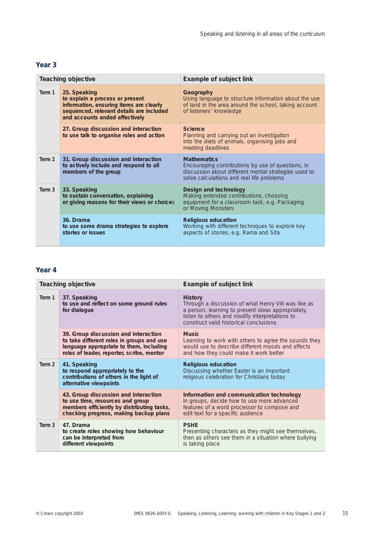### **Year 3**

| <b>Teaching objective</b> |                                                                                                                                                                          | <b>Example of subject link</b>                                                                                                                                               |
|---------------------------|--------------------------------------------------------------------------------------------------------------------------------------------------------------------------|------------------------------------------------------------------------------------------------------------------------------------------------------------------------------|
| Term 1                    | 25. Speaking<br>to explain a process or present<br>information, ensuring items are clearly<br>sequenced, relevant details are included<br>and accounts ended effectively | Geography<br>Using language to structure information about the use<br>of land in the area around the school, taking account<br>of listeners' knowledge                       |
|                           | 27. Group discussion and interaction<br>to use talk to organise roles and action                                                                                         | <b>Science</b><br>Planning and carrying out an investigation<br>into the diets of animals, organising jobs and<br>meeting deadlines                                          |
| Term 2                    | 31. Group discussion and interaction<br>to actively include and respond to all<br>members of the group                                                                   | <b>Mathematics</b><br>Encouraging contributions by use of questions, in<br>discussion about different mental strategies used to<br>solve calculations and real life problems |
| Term 3                    | 33. Speaking<br>to sustain conversation, explaining<br>or giving reasons for their views or choices                                                                      | Design and technology<br>Making extended contributions, choosing<br>equipment for a classroom task, e.g. Packaging<br>or Moving Monsters                                     |
|                           | 36. Drama<br>to use some drama strategies to explore<br>stories or issues                                                                                                | <b>Religious education</b><br>Working with different techniques to explore key<br>aspects of stories, e.g. Rama and Sita                                                     |

### **Year 4**

| <b>Teaching objective</b> |                                                                                                                                                                           | Example of subject link                                                                                                                                                                                                 |
|---------------------------|---------------------------------------------------------------------------------------------------------------------------------------------------------------------------|-------------------------------------------------------------------------------------------------------------------------------------------------------------------------------------------------------------------------|
| Term 1                    | 37. Speaking<br>to use and reflect on some ground rules<br>for dialogue                                                                                                   | <b>History</b><br>Through a discussion of what Henry VIII was like as<br>a person, learning to present ideas appropriately,<br>listen to others and modify interpretations to<br>construct valid historical conclusions |
|                           | 39. Group discussion and interaction<br>to take different roles in groups and use<br>language appropriate to them, including<br>roles of leader, reporter, scribe, mentor | <b>Music</b><br>Learning to work with others to agree the sounds they<br>would use to describe different moods and effects<br>and how they could make it work better                                                    |
| Term 2                    | 41. Speaking<br>to respond appropriately to the<br>contributions of others in the light of<br>alternative viewpoints                                                      | <b>Religious education</b><br>Discussing whether Easter is an important<br>religious celebration for Christians today                                                                                                   |
|                           | 43. Group discussion and interaction<br>to use time, resources and group<br>members efficiently by distributing tasks,<br>checking progress, making backup plans          | Information and communication technology<br>In groups, decide how to use more advanced<br>features of a word processor to compose and<br>edit text for a specific audience                                              |
| Term 3                    | 47. Drama<br>to create roles showing how behaviour<br>can be interpreted from<br>different viewpoints                                                                     | <b>PSHE</b><br>Presenting characters as they might see themselves,<br>then as others see them in a situation where bullying<br>is taking place                                                                          |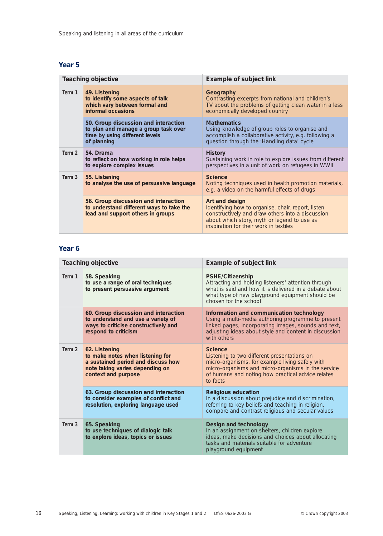### **Year 5**

| <b>Teaching objective</b> |                                                                                                                               | <b>Example of subject link</b>                                                                                                                                                                                    |
|---------------------------|-------------------------------------------------------------------------------------------------------------------------------|-------------------------------------------------------------------------------------------------------------------------------------------------------------------------------------------------------------------|
| Term 1                    | 49. Listening<br>to identify some aspects of talk<br>which vary between formal and<br>informal occasions                      | Geography<br>Contrasting excerpts from national and children's<br>TV about the problems of getting clean water in a less<br>economically developed country                                                        |
|                           | 50. Group discussion and interaction<br>to plan and manage a group task over<br>time by using different levels<br>of planning | <b>Mathematics</b><br>Using knowledge of group roles to organise and<br>accomplish a collaborative activity, e.g. following a<br>question through the 'Handling data' cycle                                       |
| Term 2                    | 54. Drama<br>to reflect on how working in role helps<br>to explore complex issues                                             | <b>History</b><br>Sustaining work in role to explore issues from different<br>perspectives in a unit of work on refugees in WWII                                                                                  |
| Term 3                    | 55. Listening<br>to analyse the use of persuasive language                                                                    | <b>Science</b><br>Noting techniques used in health promotion materials,<br>e.g. a video on the harmful effects of drugs                                                                                           |
|                           | 56. Group discussion and interaction<br>to understand different ways to take the<br>lead and support others in groups         | Art and design<br>Identifying how to organise, chair, report, listen<br>constructively and draw others into a discussion<br>about which story, myth or legend to use as<br>inspiration for their work in textiles |

### **Year 6**

| Teaching objective |                                                                                                                                                   | <b>Example of subject link</b>                                                                                                                                                                                                          |
|--------------------|---------------------------------------------------------------------------------------------------------------------------------------------------|-----------------------------------------------------------------------------------------------------------------------------------------------------------------------------------------------------------------------------------------|
| Term 1             | 58. Speaking<br>to use a range of oral techniques<br>to present persuasive argument                                                               | <b>PSHE/Citizenship</b><br>Attracting and holding listeners' attention through<br>what is said and how it is delivered in a debate about<br>what type of new playground equipment should be<br>chosen for the school                    |
|                    | 60. Group discussion and interaction<br>to understand and use a variety of<br>ways to criticise constructively and<br>respond to criticism        | Information and communication technology<br>Using a multi-media authoring programme to present<br>linked pages, incorporating images, sounds and text,<br>adjusting ideas about style and content in discussion<br>with others          |
| Term 2             | 62. Listening<br>to make notes when listening for<br>a sustained period and discuss how<br>note taking varies depending on<br>context and purpose | <b>Science</b><br>Listening to two different presentations on<br>micro-organisms, for example living safely with<br>micro-organisms and micro-organisms in the service<br>of humans and noting how practical advice relates<br>to facts |
|                    | 63. Group discussion and interaction<br>to consider examples of conflict and<br>resolution, exploring language used                               | <b>Religious education</b><br>In a discussion about prejudice and discrimination,<br>referring to key beliefs and teaching in religion,<br>compare and contrast religious and secular values                                            |
| Term 3             | 65. Speaking<br>to use techniques of dialogic talk<br>to explore ideas, topics or issues                                                          | Design and technology<br>In an assignment on shelters, children explore<br>ideas, make decisions and choices about allocating<br>tasks and materials suitable for adventure<br>playground equipment                                     |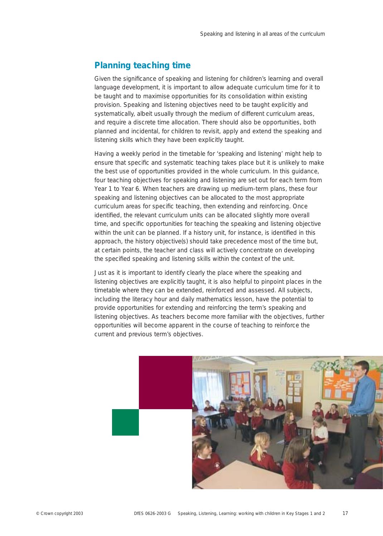### **Planning teaching time**

Given the significance of speaking and listening for children's learning and overall language development, it is important to allow adequate curriculum time for it to be taught and to maximise opportunities for its consolidation within existing provision. Speaking and listening objectives need to be taught explicitly and systematically, albeit usually through the medium of different curriculum areas, and require a discrete time allocation. There should also be opportunities, both planned and incidental, for children to revisit, apply and extend the speaking and listening skills which they have been explicitly taught.

Having a weekly period in the timetable for 'speaking and listening' might help to ensure that specific and systematic teaching takes place but it is unlikely to make the best use of opportunities provided in the whole curriculum. In this guidance, four teaching objectives for speaking and listening are set out for each term from Year 1 to Year 6. When teachers are drawing up medium-term plans, these four speaking and listening objectives can be allocated to the most appropriate curriculum areas for specific teaching, then extending and reinforcing. Once identified, the relevant curriculum units can be allocated slightly more overall time, and specific opportunities for teaching the speaking and listening objective within the unit can be planned. If a history unit, for instance, is identified in this approach, the history objective(s) should take precedence most of the time but, at certain points, the teacher and class will actively concentrate on developing the specified speaking and listening skills within the context of the unit.

Just as it is important to identify clearly the place where the speaking and listening objectives are explicitly taught, it is also helpful to pinpoint places in the timetable where they can be extended, reinforced and assessed. All subjects, including the literacy hour and daily mathematics lesson, have the potential to provide opportunities for extending and reinforcing the term's speaking and listening objectives. As teachers become more familiar with the objectives, further opportunities will become apparent in the course of teaching to reinforce the current and previous term's objectives.

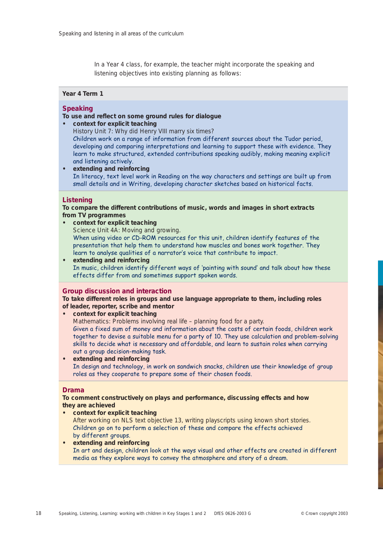In a Year 4 class, for example, the teacher might incorporate the speaking and listening objectives into existing planning as follows:

### **Year 4 Term 1**

#### **Speaking**

**To use and reflect on some ground rules for dialogue**

- **• context for explicit teaching**
- *History Unit 7: Why did Henry VIII marry six times?* Children work on a range of information from different sources about the Tudor period, developing and comparing interpretations and learning to support these with evidence. They learn to make structured, extended contributions speaking audibly, making meaning explicit

and listening actively. **• extending and reinforcing** In literacy, text level work in Reading on the way characters and settings are built up from small details and in Writing, developing character sketches based on historical facts.

#### **Listening**

**To compare the different contributions of music, words and images in short extracts from TV programmes** 

**• context for explicit teaching** *Science Unit 4A: Moving and growing.* When using video or CD-ROM resources for this unit, children identify features of the presentation that help them to understand how muscles and bones work together. They learn to analyse qualities of a narrator's voice that contribute to impact.

**• extending and reinforcing** In music, children identify different ways of 'painting with sound' and talk about how these effects differ from and sometimes support spoken words.

#### **Group discussion and interaction**

**To take different roles in groups and use language appropriate to them, including roles of leader, reporter, scribe and mentor**

- **• context for explicit teaching**
- *Mathematics: Problems involving real life planning food for a party.* Given a fixed sum of money and information about the costs of certain foods, children work together to devise a suitable menu for a party of 10. They use calculation and problem-solving skills to decide what is necessary and affordable, and learn to sustain roles when carrying out a group decision-making task.
- **• extending and reinforcing** In design and technology, in work on sandwich snacks, children use their knowledge of group roles as they cooperate to prepare some of their chosen foods.

#### **Drama**

**To comment constructively on plays and performance, discussing effects and how they are achieved**

- **• context for explicit teaching** After working on *NLS text objective 13, writing playscripts using known short stories.* Children go on to perform a selection of these and compare the effects achieved by different groups.
- **• extending and reinforcing** In art and design, children look at the ways visual and other effects are created in different media as they explore ways to convey the atmosphere and story of a dream.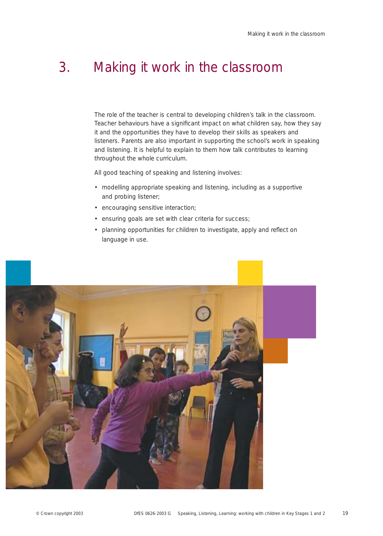# 3. Making it work in the classroom

The role of the teacher is central to developing children's talk in the classroom. Teacher behaviours have a significant impact on what children say, how they say it and the opportunities they have to develop their skills as speakers and listeners. Parents are also important in supporting the school's work in speaking and listening. It is helpful to explain to them how talk contributes to learning throughout the whole curriculum.

All good teaching of speaking and listening involves:

- modelling appropriate speaking and listening, including as a supportive and probing listener;
- encouraging sensitive interaction;
- ensuring goals are set with clear criteria for success;
- planning opportunities for children to investigate, apply and reflect on language in use.

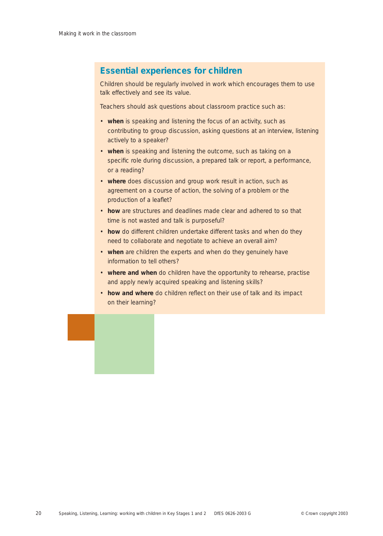### **Essential experiences for children**

Children should be regularly involved in work which encourages them to use talk effectively and see its value.

Teachers should ask questions about classroom practice such as:

- **when** is speaking and listening the focus of an activity, such as contributing to group discussion, asking questions at an interview, listening actively to a speaker?
- **when** is speaking and listening the outcome, such as taking on a specific role during discussion, a prepared talk or report, a performance, or a reading?
- **where** does discussion and group work result in action, such as agreement on a course of action, the solving of a problem or the production of a leaflet?
- **how** are structures and deadlines made clear and adhered to so that time is not wasted and talk is purposeful?
- **how** do different children undertake different tasks and when do they need to collaborate and negotiate to achieve an overall aim?
- **when** are children the experts and when do they genuinely have information to tell others?
- **where and when** do children have the opportunity to rehearse, practise and apply newly acquired speaking and listening skills?
- **how and where** do children reflect on their use of talk and its impact on their learning?

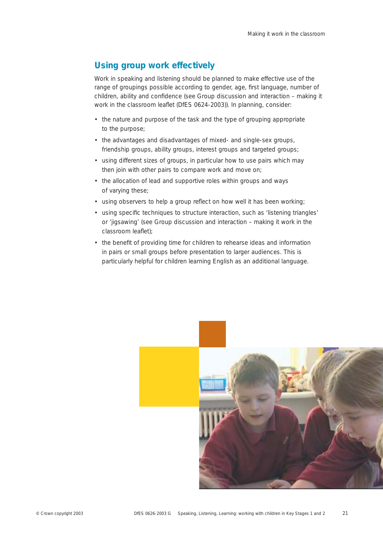### **Using group work effectively**

Work in speaking and listening should be planned to make effective use of the range of groupings possible according to gender, age, first language, number of children, ability and confidence (see *Group discussion and interaction – making it work in the classroom* leaflet (DfES 0624-2003)). In planning, consider:

- the nature and purpose of the task and the type of grouping appropriate to the purpose;
- the advantages and disadvantages of mixed- and single-sex groups, friendship groups, ability groups, interest groups and targeted groups;
- using different sizes of groups, in particular how to use pairs which may then join with other pairs to compare work and move on;
- the allocation of lead and supportive roles within groups and ways of varying these;
- using observers to help a group reflect on how well it has been working;
- using specific techniques to structure interaction, such as 'listening triangles' or 'jigsawing' (see *Group discussion and interaction – making it work in the classroom* leaflet);
- the benefit of providing time for children to rehearse ideas and information in pairs or small groups before presentation to larger audiences. This is particularly helpful for children learning English as an additional language.

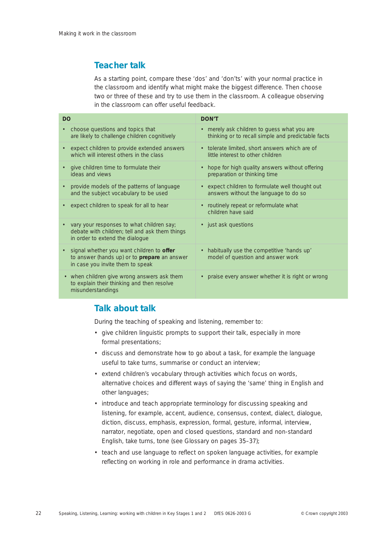### **Teacher talk**

As a starting point, compare these 'dos' and 'don'ts' with your normal practice in the classroom and identify what might make the biggest difference. Then choose two or three of these and try to use them in the classroom. A colleague observing in the classroom can offer useful feedback.

| <b>DO</b>                                                                                                                      | <b>DON'T</b>                                                                                      |
|--------------------------------------------------------------------------------------------------------------------------------|---------------------------------------------------------------------------------------------------|
| choose questions and topics that<br>are likely to challenge children cognitively                                               | • merely ask children to guess what you are<br>thinking or to recall simple and predictable facts |
| expect children to provide extended answers<br>which will interest others in the class                                         | • tolerate limited, short answers which are of<br>little interest to other children               |
| give children time to formulate their<br>ideas and views                                                                       | • hope for high quality answers without offering<br>preparation or thinking time                  |
| provide models of the patterns of language<br>and the subject vocabulary to be used                                            | • expect children to formulate well thought out<br>answers without the language to do so          |
| expect children to speak for all to hear                                                                                       | • routinely repeat or reformulate what<br>children have said                                      |
| vary your responses to what children say;<br>debate with children; tell and ask them things<br>in order to extend the dialogue | • just ask questions                                                                              |
| signal whether you want children to offer<br>to answer (hands up) or to prepare an answer<br>in case you invite them to speak  | • habitually use the competitive 'hands up'<br>model of question and answer work                  |
| • when children give wrong answers ask them<br>to explain their thinking and then resolve<br>misunderstandings                 | • praise every answer whether it is right or wrong                                                |

### **Talk about talk**

During the teaching of speaking and listening, remember to:

- give children linguistic prompts to support their talk, especially in more formal presentations;
- discuss and demonstrate how to go about a task, for example the language useful to take turns, summarise or conduct an interview;
- extend children's vocabulary through activities which focus on words, alternative choices and different ways of saying the 'same' thing in English and other languages;
- introduce and teach appropriate terminology for discussing speaking and listening, for example, *accent*, *audience*, *consensus*, *context*, *dialect, dialogue*, *diction*, *discuss*, *emphasis*, *expression*, *formal*, *gesture*, *informal*, *interview*, *narrator*, *negotiate*, *open and closed questions*, *standard and non-standard English*, *take turns*, *tone* (see Glossary on pages 35–37);
- teach and use language to reflect on spoken language activities, for example reflecting on working in role and performance in drama activities.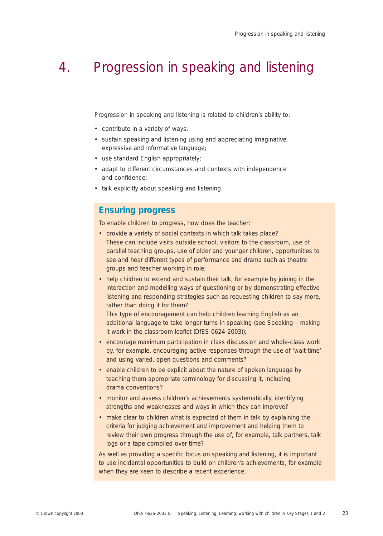# 4. Progression in speaking and listening

Progression in speaking and listening is related to children's ability to:

- contribute in a variety of ways;
- sustain speaking and listening using and appreciating imaginative, expressive and informative language;
- use standard English appropriately;
- adapt to different circumstances and contexts with independence and confidence;
- talk explicitly about speaking and listening.

### **Ensuring progress**

To enable children to progress, how does the teacher:

- provide a variety of social contexts in which talk takes place? These can include visits outside school, visitors to the classroom, use of parallel teaching groups, use of older and younger children, opportunities to see and hear different types of performance and drama such as theatre groups and teacher working in role;
- help children to extend and sustain their talk, for example by joining in the interaction and modelling ways of questioning or by demonstrating effective listening and responding strategies such as requesting children to say more, rather than doing it for them?

This type of encouragement can help children learning English as an additional language to take longer turns in speaking (see *Speaking – making it work in the classroom* leaflet (DfES 0624-2003));

- encourage maximum participation in class discussion and whole-class work by, for example, encouraging active responses through the use of 'wait time' and using varied, open questions and comments?
- enable children to be explicit about the nature of spoken language by teaching them appropriate terminology for discussing it, including drama conventions?
- monitor and assess children's achievements systematically, identifying strengths and weaknesses and ways in which they can improve?
- make clear to children what is expected of them in talk by explaining the criteria for judging achievement and improvement and helping them to review their own progress through the use of, for example, talk partners, talk logs or a tape compiled over time?

As well as providing a specific focus on speaking and listening, it is important to use incidental opportunities to build on children's achievements, for example when they are keen to describe a recent experience.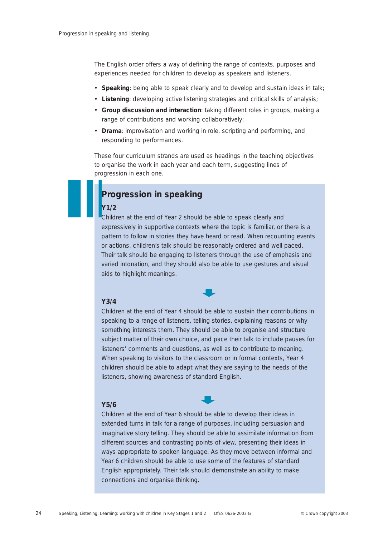The English order offers a way of defining the range of contexts, purposes and experiences needed for children to develop as speakers and listeners.

- **Speaking**: being able to speak clearly and to develop and sustain ideas in talk;
- **Listening**: developing active listening strategies and critical skills of analysis;
- **Group discussion and interaction**: taking different roles in groups, making a range of contributions and working collaboratively;
- **Drama**: improvisation and working in role, scripting and performing, and responding to performances.

These four curriculum strands are used as headings in the teaching objectives to organise the work in each year and each term, suggesting lines of progression in each one.

# ❚❙❘ **Progression in speaking**

### **Y1/2**

Children at the end of Year 2 should be able to speak clearly and expressively in supportive contexts where the topic is familiar, or there is a pattern to follow in stories they have heard or read. When recounting events or actions, children's talk should be reasonably ordered and well paced. Their talk should be engaging to listeners through the use of emphasis and varied intonation, and they should also be able to use gestures and visual aids to highlight meanings.

➧

### **Y3/4**

Children at the end of Year 4 should be able to sustain their contributions in speaking to a range of listeners, telling stories, explaining reasons or why something interests them. They should be able to organise and structure subject matter of their own choice, and pace their talk to include pauses for listeners' comments and questions, as well as to contribute to meaning. When speaking to visitors to the classroom or in formal contexts, Year 4 children should be able to adapt what they are saying to the needs of the listeners, showing awareness of standard English.

➧

#### **Y5/6**

Children at the end of Year 6 should be able to develop their ideas in extended turns in talk for a range of purposes, including persuasion and imaginative story telling. They should be able to assimilate information from different sources and contrasting points of view, presenting their ideas in ways appropriate to spoken language. As they move between informal and Year 6 children should be able to use some of the features of standard English appropriately. Their talk should demonstrate an ability to make connections and organise thinking.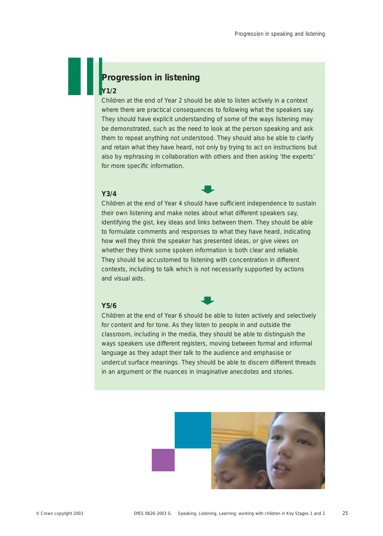# **Progression in listening**

### **Y1/2**

❚❙❘

Children at the end of Year 2 should be able to listen actively in a context where there are practical consequences to following what the speakers say. They should have explicit understanding of some of the ways listening may be demonstrated, such as the need to look at the person speaking and ask them to repeat anything not understood. They should also be able to clarify and retain what they have heard, not only by trying to act on instructions but also by rephrasing in collaboration with others and then asking 'the experts' for more specific information.

➧

### **Y3/4**

Children at the end of Year 4 should have sufficient independence to sustain their own listening and make notes about what different speakers say, identifying the gist, key ideas and links between them. They should be able to formulate comments and responses to what they have heard, indicating how well they think the speaker has presented ideas, or give views on whether they think some spoken information is both clear and reliable. They should be accustomed to listening with concentration in different contexts, including to talk which is not necessarily supported by actions and visual aids.

➧

### **Y5/6**

Children at the end of Year 6 should be able to listen actively and selectively for content and for tone. As they listen to people in and outside the classroom, including in the media, they should be able to distinguish the ways speakers use different registers, moving between formal and informal language as they adapt their talk to the audience and emphasise or undercut surface meanings. They should be able to discern different threads in an argument or the nuances in imaginative anecdotes and stories.

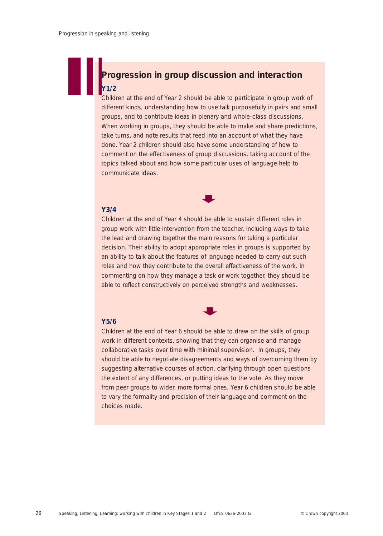

# **Progression in group discussion and interaction Y1/2**

Children at the end of Year 2 should be able to participate in group work of different kinds, understanding how to use talk purposefully in pairs and small groups, and to contribute ideas in plenary and whole-class discussions. When working in groups, they should be able to make and share predictions, take turns, and note results that feed into an account of what they have done. Year 2 children should also have some understanding of how to comment on the effectiveness of group discussions, taking account of the topics talked about and how some particular uses of language help to communicate ideas.



#### **Y3/4**

Children at the end of Year 4 should be able to sustain different roles in group work with little intervention from the teacher, including ways to take the lead and drawing together the main reasons for taking a particular decision. Their ability to adopt appropriate roles in groups is supported by an ability to talk about the features of language needed to carry out such roles and how they contribute to the overall effectiveness of the work. In commenting on how they manage a task or work together, they should be able to reflect constructively on perceived strengths and weaknesses.



### **Y5/6**

Children at the end of Year 6 should be able to draw on the skills of group work in different contexts, showing that they can organise and manage collaborative tasks over time with minimal supervision. In groups, they should be able to negotiate disagreements and ways of overcoming them by suggesting alternative courses of action, clarifying through open questions the extent of any differences, or putting ideas to the vote. As they move from peer groups to wider, more formal ones, Year 6 children should be able to vary the formality and precision of their language and comment on the choices made.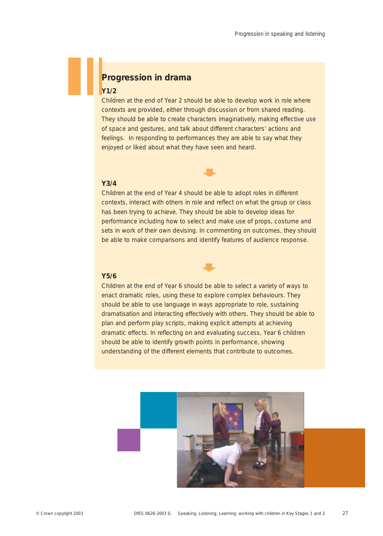### **Progression in drama**

### **Y1/2**

❚❙❘

Children at the end of Year 2 should be able to develop work in role where contexts are provided, either through discussion or from shared reading. They should be able to create characters imaginatively, making effective use of space and gestures, and talk about different characters' actions and feelings. In responding to performances they are able to say what they enjoyed or liked about what they have seen and heard.



#### **Y3/4**

Children at the end of Year 4 should be able to adopt roles in different contexts, interact with others in role and reflect on what the group or class has been trying to achieve. They should be able to develop ideas for performance including how to select and make use of props, costume and sets in work of their own devising. In commenting on outcomes, they should be able to make comparisons and identify features of audience response.



#### **Y5/6**

Children at the end of Year 6 should be able to select a variety of ways to enact dramatic roles, using these to explore complex behaviours. They should be able to use language in ways appropriate to role, sustaining dramatisation and interacting effectively with others. They should be able to plan and perform play scripts, making explicit attempts at achieving dramatic effects. In reflecting on and evaluating success, Year 6 children should be able to identify growth points in performance, showing understanding of the different elements that contribute to outcomes.

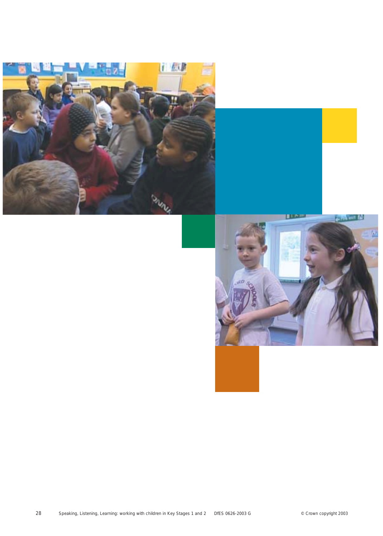

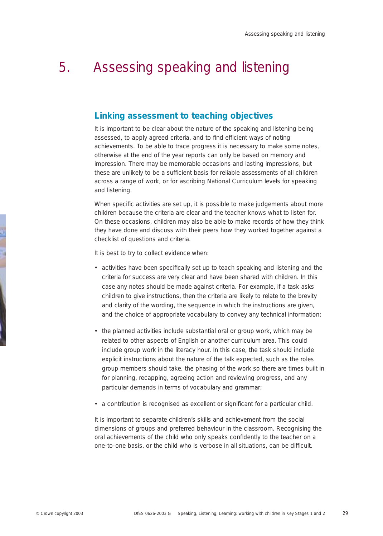# 5. Assessing speaking and listening

### **Linking assessment to teaching objectives**

It is important to be clear about the nature of the speaking and listening being assessed, to apply agreed criteria, and to find efficient ways of noting achievements. To be able to trace progress it is necessary to make some notes, otherwise at the end of the year reports can only be based on memory and impression. There may be memorable occasions and lasting impressions, but these are unlikely to be a sufficient basis for reliable assessments of all children across a range of work, or for ascribing National Curriculum levels for speaking and listening.

When specific activities are set up, it is possible to make judgements about more children because the criteria are clear and the teacher knows what to listen for. On these occasions, children may also be able to make records of how they think they have done and discuss with their peers how they worked together against a checklist of questions and criteria.

It is best to try to collect evidence when:

- activities have been specifically set up to teach speaking and listening and the criteria for success are very clear and have been shared with children. In this case any notes should be made against criteria. For example, if a task asks children to give instructions, then the criteria are likely to relate to the brevity and clarity of the wording, the sequence in which the instructions are given, and the choice of appropriate vocabulary to convey any technical information;
- the planned activities include substantial oral or group work, which may be related to other aspects of English or another curriculum area. This could include group work in the literacy hour. In this case, the task should include explicit instructions about the nature of the talk expected, such as the roles group members should take, the phasing of the work so there are times built in for planning, recapping, agreeing action and reviewing progress, and any particular demands in terms of vocabulary and grammar;
- a contribution is recognised as excellent or significant for a particular child.

It is important to separate children's skills and achievement from the social dimensions of groups and preferred behaviour in the classroom. Recognising the oral achievements of the child who only speaks confidently to the teacher on a one-to-one basis, or the child who is verbose in all situations, can be difficult.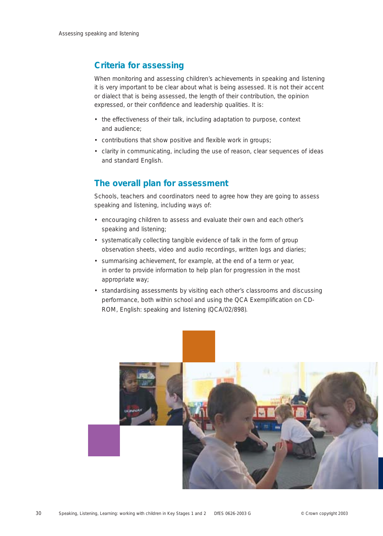## **Criteria for assessing**

When monitoring and assessing children's achievements in speaking and listening it is very important to be clear about what is being assessed. It is not their accent or dialect that is being assessed, the length of their contribution, the opinion expressed, or their confidence and leadership qualities. It is:

- the effectiveness of their talk, including adaptation to purpose, context and audience;
- contributions that show positive and flexible work in groups;
- clarity in communicating, including the use of reason, clear sequences of ideas and standard English.

### **The overall plan for assessment**

Schools, teachers and coordinators need to agree how they are going to assess speaking and listening, including ways of:

- encouraging children to assess and evaluate their own and each other's speaking and listening;
- systematically collecting tangible evidence of talk in the form of group observation sheets, video and audio recordings, written logs and diaries;
- summarising achievement, for example, at the end of a term or year, in order to provide information to help plan for progression in the most appropriate way;
- standardising assessments by visiting each other's classrooms and discussing performance, both within school and using the QCA Exemplification on CD-ROM, *English: speaking and listening* (QCA/02/898).

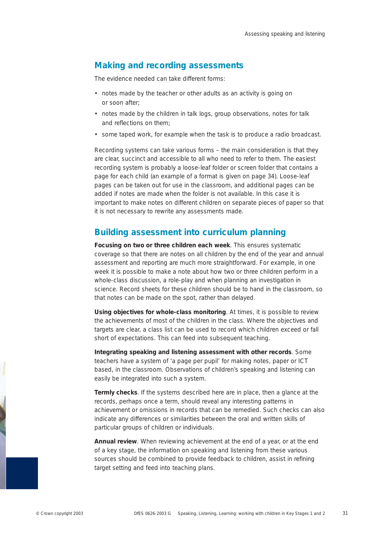### **Making and recording assessments**

The evidence needed can take different forms:

- notes made by the teacher or other adults as an activity is going on or soon after;
- notes made by the children in talk logs, group observations, notes for talk and reflections on them;
- some taped work, for example when the task is to produce a radio broadcast.

Recording systems can take various forms – the main consideration is that they are clear, succinct and accessible to all who need to refer to them. The easiest recording system is probably a loose-leaf folder or screen folder that contains a page for each child (an example of a format is given on page 34). Loose-leaf pages can be taken out for use in the classroom, and additional pages can be added if notes are made when the folder is not available. In this case it is important to make notes on different children on separate pieces of paper so that it is not necessary to rewrite any assessments made.

### **Building assessment into curriculum planning**

*Focusing on two or three children each week*. This ensures systematic coverage so that there are notes on all children by the end of the year and annual assessment and reporting are much more straightforward. For example, in one week it is possible to make a note about how two or three children perform in a whole-class discussion, a role-play and when planning an investigation in science. Record sheets for these children should be to hand in the classroom, so that notes can be made on the spot, rather than delayed.

*Using objectives for whole-class monitoring*. At times, it is possible to review the achievements of most of the children in the class. Where the objectives and targets are clear, a class list can be used to record which children exceed or fall short of expectations. This can feed into subsequent teaching.

*Integrating speaking and listening assessment with other records*. Some teachers have a system of 'a page per pupil' for making notes, paper or ICT based, in the classroom. Observations of children's speaking and listening can easily be integrated into such a system.

*Termly checks*. If the systems described here are in place, then a glance at the records, perhaps once a term, should reveal any interesting patterns in achievement or omissions in records that can be remedied. Such checks can also indicate any differences or similarities between the oral and written skills of particular groups of children or individuals.

*Annual review*. When reviewing achievement at the end of a year, or at the end of a key stage, the information on speaking and listening from these various sources should be combined to provide feedback to children, assist in refining target setting and feed into teaching plans.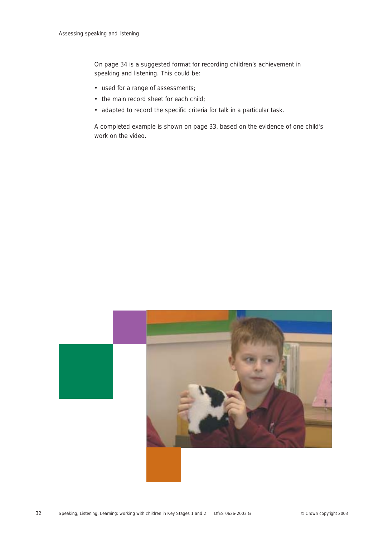On page 34 is a suggested format for recording children's achievement in speaking and listening. This could be:

- used for a range of assessments;
- the main record sheet for each child;
- adapted to record the specific criteria for talk in a particular task.

A completed example is shown on page 33, based on the evidence of one child's work on the video.

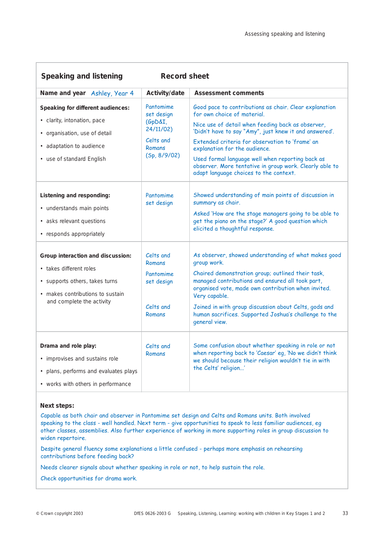| <b>Speaking and listening</b>                                                                                                                                   | <b>Record sheet</b>                                                                    |                                                                                                                                                                                                                                                                                                                                                                                                                                                   |
|-----------------------------------------------------------------------------------------------------------------------------------------------------------------|----------------------------------------------------------------------------------------|---------------------------------------------------------------------------------------------------------------------------------------------------------------------------------------------------------------------------------------------------------------------------------------------------------------------------------------------------------------------------------------------------------------------------------------------------|
| Name and year Ashley, Year 4                                                                                                                                    | Activity/date                                                                          | <b>Assessment comments</b>                                                                                                                                                                                                                                                                                                                                                                                                                        |
| Speaking for different audiences:<br>· clarity, intonation, pace<br>• organisation, use of detail<br>• adaptation to audience<br>• use of standard English      | Pantomime<br>set design<br>(GpD&I,<br>24/11/02)<br>Celts and<br>Romans<br>(Sp, 8/9/02) | Good pace to contributions as chair. Clear explanation<br>for own choice of material.<br>Nice use of detail when feeding back as observer,<br>'Didn't have to say "Amy", just knew it and answered'.<br>Extended criteria for observation to 'frame' an<br>explanation for the audience.<br>Used formal language well when reporting back as<br>observer. More tentative in group work. Clearly able to<br>adapt language choices to the context. |
| Listening and responding:<br>• understands main points<br>· asks relevant questions<br>• responds appropriately                                                 | Pantomime<br>set design                                                                | Showed understanding of main points of discussion in<br>summary as chair.<br>Asked 'How are the stage managers going to be able to<br>get the piano on the stage?' A good question which<br>elicited a thoughtful response.                                                                                                                                                                                                                       |
| Group interaction and discussion:<br>• takes different roles<br>• supports others, takes turns<br>• makes contributions to sustain<br>and complete the activity | Celts and<br>Romans<br>Pantomime<br>set design<br>Celts and<br>Romans                  | As observer, showed understanding of what makes good<br>group work.<br>Chaired demonstration group; outlined their task,<br>managed contributions and ensured all took part,<br>organised vote, made own contribution when invited.<br>Very capable.<br>Joined in with group discussion about Celts, gods and<br>human sacrifices. Supported Joshua's challenge to the<br>general view.                                                           |
| Drama and role play:<br>• improvises and sustains role<br>• plans, performs and evaluates plays<br>• works with others in performance                           | Celts and<br>Romans                                                                    | Some confusion about whether speaking in role or not<br>when reporting back to 'Caesar' eq, 'No we didn't think<br>we should because their religion wouldn't tie in with<br>the Celts' religion'                                                                                                                                                                                                                                                  |

#### **Next steps:**

Capable as both chair and observer in Pantomime set design and Celts and Romans units. Both involved speaking to the class - well handled. Next term - give opportunities to speak to less familiar audiences, eg other classes, assemblies. Also further experience of working in more supporting roles in group discussion to widen repertoire.

Despite general fluency some explanations a little confused - perhaps more emphasis on rehearsing contributions before feeding back?

Needs clearer signals about whether speaking in role or not, to help sustain the role.

Check opportunities for drama work.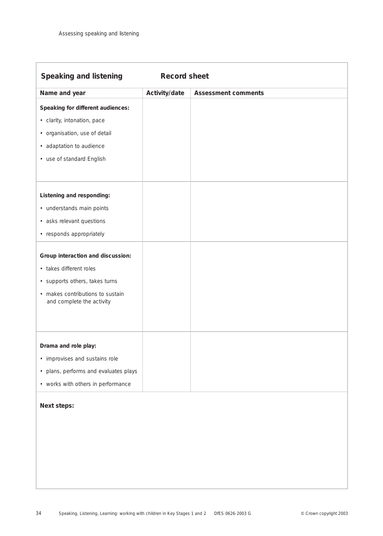| <b>Speaking and listening</b>                                                                                                                                                   | <b>Record sheet</b> |                            |
|---------------------------------------------------------------------------------------------------------------------------------------------------------------------------------|---------------------|----------------------------|
| Name and year                                                                                                                                                                   | Activity/date       | <b>Assessment comments</b> |
| Speaking for different audiences:<br>· clarity, intonation, pace<br>• organisation, use of detail<br>• adaptation to audience<br>• use of standard English                      |                     |                            |
| Listening and responding:<br>• understands main points<br>• asks relevant questions<br>• responds appropriately<br>Group interaction and discussion:<br>• takes different roles |                     |                            |
| • supports others, takes turns<br>• makes contributions to sustain<br>and complete the activity                                                                                 |                     |                            |
| Drama and role play:<br>• improvises and sustains role<br>• plans, performs and evaluates plays<br>• works with others in performance<br><b>Next steps:</b>                     |                     |                            |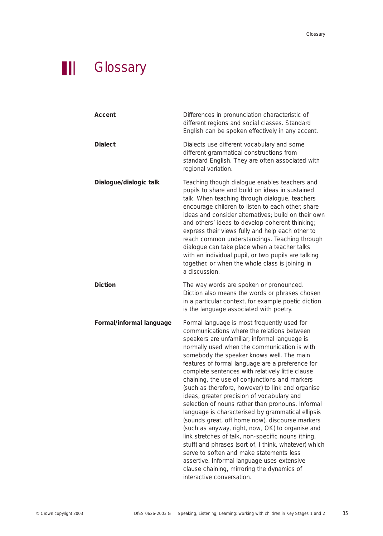

# **II** Glossary

| Accent                   | Differences in pronunciation characteristic of<br>different regions and social classes. Standard<br>English can be spoken effectively in any accent.                                                                                                                                                                                                                                                                                                                                                                                                                                                                                                                                                                                                                                                                                                                                                                                                                                                              |
|--------------------------|-------------------------------------------------------------------------------------------------------------------------------------------------------------------------------------------------------------------------------------------------------------------------------------------------------------------------------------------------------------------------------------------------------------------------------------------------------------------------------------------------------------------------------------------------------------------------------------------------------------------------------------------------------------------------------------------------------------------------------------------------------------------------------------------------------------------------------------------------------------------------------------------------------------------------------------------------------------------------------------------------------------------|
| <b>Dialect</b>           | Dialects use different vocabulary and some<br>different grammatical constructions from<br>standard English. They are often associated with<br>regional variation.                                                                                                                                                                                                                                                                                                                                                                                                                                                                                                                                                                                                                                                                                                                                                                                                                                                 |
| Dialogue/dialogic talk   | Teaching though dialogue enables teachers and<br>pupils to share and build on ideas in sustained<br>talk. When teaching through dialogue, teachers<br>encourage children to listen to each other, share<br>ideas and consider alternatives; build on their own<br>and others' ideas to develop coherent thinking;<br>express their views fully and help each other to<br>reach common understandings. Teaching through<br>dialogue can take place when a teacher talks<br>with an individual pupil, or two pupils are talking<br>together, or when the whole class is joining in<br>a discussion.                                                                                                                                                                                                                                                                                                                                                                                                                 |
| <b>Diction</b>           | The way words are spoken or pronounced.<br>Diction also means the words or phrases chosen<br>in a particular context, for example poetic diction<br>is the language associated with poetry.                                                                                                                                                                                                                                                                                                                                                                                                                                                                                                                                                                                                                                                                                                                                                                                                                       |
| Formal/informal language | Formal language is most frequently used for<br>communications where the relations between<br>speakers are unfamiliar; informal language is<br>normally used when the communication is with<br>somebody the speaker knows well. The main<br>features of formal language are a preference for<br>complete sentences with relatively little clause<br>chaining, the use of conjunctions and markers<br>(such as <i>therefore, however</i> ) to link and organise<br>ideas, greater precision of vocabulary and<br>selection of nouns rather than pronouns. Informal<br>language is characterised by grammatical ellipsis<br>(sounds great, off home now), discourse markers<br>(such as anyway, right, now, OK) to organise and<br>link stretches of talk, non-specific nouns (thing,<br>stuff) and phrases (sort of, I think, whatever) which<br>serve to soften and make statements less<br>assertive. Informal language uses extensive<br>clause chaining, mirroring the dynamics of<br>interactive conversation. |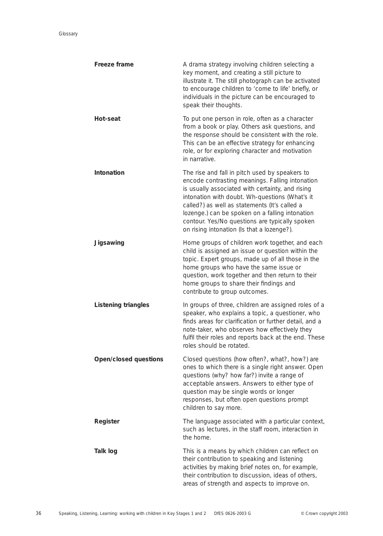| Freeze frame                 | A drama strategy involving children selecting a<br>key moment, and creating a still picture to<br>illustrate it. The still photograph can be activated<br>to encourage children to 'come to life' briefly, or<br>individuals in the picture can be encouraged to<br>speak their thoughts.                                                                                                                   |
|------------------------------|-------------------------------------------------------------------------------------------------------------------------------------------------------------------------------------------------------------------------------------------------------------------------------------------------------------------------------------------------------------------------------------------------------------|
| Hot-seat                     | To put one person in role, often as a character<br>from a book or play. Others ask questions, and<br>the response should be consistent with the role.<br>This can be an effective strategy for enhancing<br>role, or for exploring character and motivation<br>in narrative.                                                                                                                                |
| Intonation                   | The rise and fall in pitch used by speakers to<br>encode contrasting meanings. Falling intonation<br>is usually associated with certainty, and rising<br>intonation with doubt. Wh-questions (What's it<br>called?) as well as statements (It's called a<br>lozenge.) can be spoken on a falling intonation<br>contour. Yes/No questions are typically spoken<br>on rising intonation (Is that a lozenge?). |
| Jigsawing                    | Home groups of children work together, and each<br>child is assigned an issue or question within the<br>topic. Expert groups, made up of all those in the<br>home groups who have the same issue or<br>question, work together and then return to their<br>home groups to share their findings and<br>contribute to group outcomes.                                                                         |
| <b>Listening triangles</b>   | In groups of three, children are assigned roles of a<br>speaker, who explains a topic, a questioner, who<br>finds areas for clarification or further detail, and a<br>note-taker, who observes how effectively they<br>fulfil their roles and reports back at the end. These<br>roles should be rotated.                                                                                                    |
| <b>Open/closed questions</b> | Closed questions (how often?, what?, how?) are<br>ones to which there is a single right answer. Open<br>questions (why? how far?) invite a range of<br>acceptable answers. Answers to either type of<br>question may be single words or longer<br>responses, but often open questions prompt<br>children to say more.                                                                                       |
| Register                     | The language associated with a particular context,<br>such as lectures, in the staff room, interaction in<br>the home.                                                                                                                                                                                                                                                                                      |
| Talk log                     | This is a means by which children can reflect on<br>their contribution to speaking and listening<br>activities by making brief notes on, for example,<br>their contribution to discussion, ideas of others,<br>areas of strength and aspects to improve on.                                                                                                                                                 |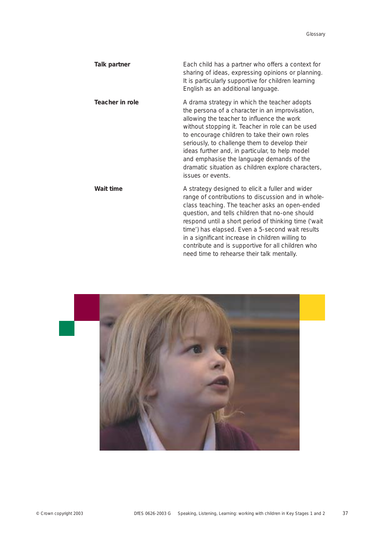| <b>Talk partner</b> | Each child has a partner who offers a context for<br>sharing of ideas, expressing opinions or planning.<br>It is particularly supportive for children learning<br>English as an additional language.                                                                                                                                                                                                                                                                           |
|---------------------|--------------------------------------------------------------------------------------------------------------------------------------------------------------------------------------------------------------------------------------------------------------------------------------------------------------------------------------------------------------------------------------------------------------------------------------------------------------------------------|
| Teacher in role     | A drama strategy in which the teacher adopts<br>the persona of a character in an improvisation,<br>allowing the teacher to influence the work<br>without stopping it. Teacher in role can be used<br>to encourage children to take their own roles<br>seriously, to challenge them to develop their<br>ideas further and, in particular, to help model<br>and emphasise the language demands of the<br>dramatic situation as children explore characters,<br>issues or events. |
| Wait time           | A strategy designed to elicit a fuller and wider<br>range of contributions to discussion and in whole-<br>class teaching. The teacher asks an open-ended<br>question, and tells children that no-one should<br>respond until a short period of thinking time ('wait<br>time') has elapsed. Even a 5-second wait results<br>in a significant increase in children willing to<br>contribute and is supportive for all children who<br>need time to rehearse their talk mentally. |

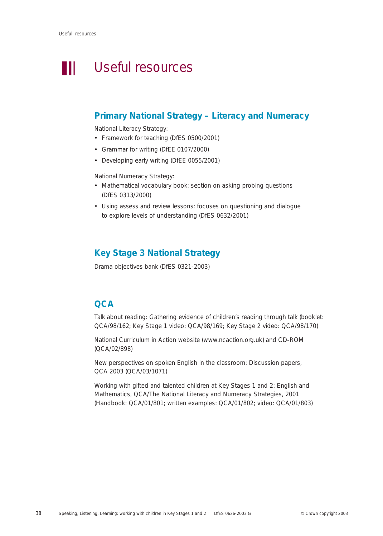# **■** Useful resources

# **Primary National Strategy – Literacy and Numeracy**

*National Literacy Strategy:* 

- *Framework for teaching* (DfES 0500/2001)
- *Grammar for writing* (DfEE 0107/2000)
- *Developing early writing* (DfEE 0055/2001)

*National Numeracy Strategy:*

- *Mathematical vocabulary book*: section on asking probing questions (DfES 0313/2000)
- *Using assess and review lessons*: focuses on questioning and dialogue to explore levels of understanding (DfES 0632/2001)

### **Key Stage 3 National Strategy**

*Drama objectives bank* (DfES 0321-2003)

## **QCA**

*Talk about reading: Gathering evidence of children's reading through talk* (booklet: QCA/98/162; Key Stage 1 video: QCA/98/169; Key Stage 2 video: QCA/98/170)

*National Curriculum in Action* website (www.ncaction.org.uk) and CD-ROM (QCA/02/898)

*New perspectives on spoken English in the classroom: Discussion papers*, QCA 2003 (QCA/03/1071)

*Working with gifted and talented children at Key Stages 1 and 2: English and Mathematics*, QCA/The National Literacy and Numeracy Strategies, 2001 (Handbook: QCA/01/801; written examples: QCA/01/802; video: QCA/01/803)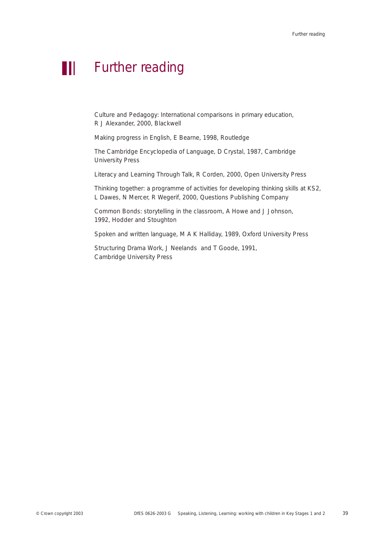# **III** Further reading

*Culture and Pedagogy: International comparisons in primary education*, R J Alexander, 2000, Blackwell

*Making progress in English*, E Bearne, 1998, Routledge

*The Cambridge Encyclopedia of Language*, D Crystal, 1987, Cambridge University Press

*Literacy and Learning Through Talk*, R Corden, 2000, Open University Press

*Thinking together: a programme of activities for developing thinking skills at KS2*, L Dawes, N Mercer, R Wegerif, 2000, Questions Publishing Company

*Common Bonds: storytelling in the classroom*, A Howe and J Johnson, 1992, Hodder and Stoughton

*Spoken and written language*, M A K Halliday, 1989, Oxford University Press

*Structuring Drama Work*, J Neelands and T Goode, 1991, Cambridge University Press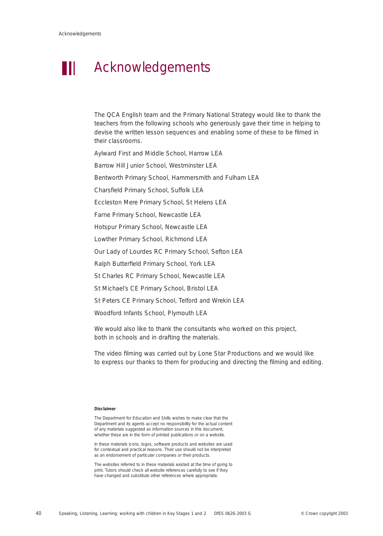

# **E** Acknowledgements

The QCA English team and the Primary National Strategy would like to thank the teachers from the following schools who generously gave their time in helping to devise the written lesson sequences and enabling some of these to be filmed in their classrooms.

Aylward First and Middle School, Harrow LEA

Barrow Hill Junior School, Westminster LEA

Bentworth Primary School, Hammersmith and Fulham LEA

Charsfield Primary School, Suffolk LEA

Eccleston Mere Primary School, St Helens LEA

Farne Primary School, Newcastle LEA

Hotspur Primary School, Newcastle LEA

Lowther Primary School, Richmond LEA

Our Lady of Lourdes RC Primary School, Sefton LEA

Ralph Butterfield Primary School, York LEA

St Charles RC Primary School, Newcastle LEA

St Michael's CE Primary School, Bristol LEA

St Peters CE Primary School, Telford and Wrekin LEA

Woodford Infants School, Plymouth LEA

We would also like to thank the consultants who worked on this project, both in schools and in drafting the materials.

The video filming was carried out by Lone Star Productions and we would like to express our thanks to them for producing and directing the filming and editing.

#### **Disclaimer**

The Department for Education and Skills wishes to make clear that the Department and its agents accept no responsibility for the actual content of any materials suggested as information sources in this document, whether these are in the form of printed publications or on a website.

In these materials icons, logos, software products and websites are used for contextual and practical reasons. Their use should not be interpreted as an endorsement of particular companies or their products.

The websites referred to in these materials existed at the time of going to print. Tutors should check all website references carefully to see if they have changed and substitute other references where appropriate.